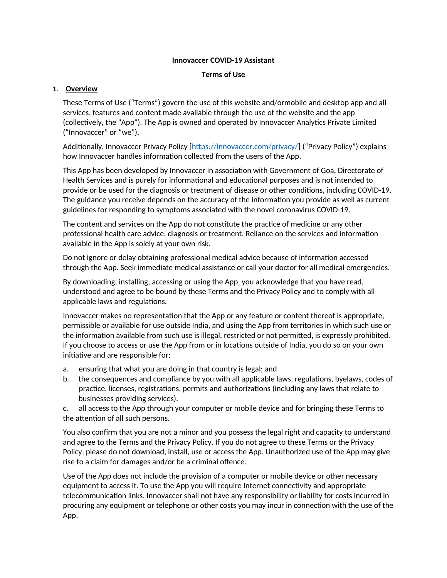### **Innovaccer COVID-19 Assistant**

### **Terms of Use**

## **1. Overview**

These Terms of Use ("Terms") govern the use of this website and/ormobile and desktop app and all services, features and content made available through the use of the website and the app (collectively, the "App"). The App is owned and operated by Innovaccer Analytics Private Limited ("Innovaccer" or "we").

Additionally, Innovaccer [Privacy Policy](http://innovaccer.com/) [<https://innovaccer.com/privacy/>] ("Privacy Policy") explains how Innovaccer handles information collected from the users of the App.

This App has been developed by Innovaccer in association with Government of Goa, Directorate of Health Services and is purely for informational and educational purposes and is not intended to provide or be used for the diagnosis or treatment of disease or other conditions, including COVID-19. The guidance you receive depends on the accuracy of the information you provide as well as current guidelines for responding to symptoms associated with the novel coronavirus COVID-19.

The content and services on the App do not constitute the practice of medicine or any other professional health care advice, diagnosis or treatment. Reliance on the services and information available in the App is solely at your own risk.

Do not ignore or delay obtaining professional medical advice because of information accessed through the App. Seek immediate medical assistance or call your doctor for all medical emergencies.

By downloading, installing, accessing or using the App, you acknowledge that you have read, understood and agree to be bound by these Terms and the Privacy Policy and to comply with all applicable laws and regulations.

Innovaccer makes no representation that the App or any feature or content thereof is appropriate, permissible or available for use outside India, and using the App from territories in which such use or the information available from such use is illegal, restricted or not permitted, is expressly prohibited. If you choose to access or use the App from or in locations outside of India, you do so on your own initiative and are responsible for:

- a. ensuring that what you are doing in that country is legal; and
- b. the consequences and compliance by you with all applicable laws, regulations, byelaws, codes of practice, licenses, registrations, permits and authorizations (including any laws that relate to businesses providing services).

c. all access to the App through your computer or mobile device and for bringing these Terms to the attention of all such persons.

You also confirm that you are not a minor and you possess the legal right and capacity to understand and agree to the Terms and the Privacy Policy. If you do not agree to these Terms or the Privacy Policy, please do not download, install, use or access the App. Unauthorized use of the App may give rise to a claim for damages and/or be a criminal offence.

Use of the App does not include the provision of a computer or mobile device or other necessary equipment to access it. To use the App you will require Internet connectivity and appropriate telecommunication links. Innovaccer shall not have any responsibility or liability for costs incurred in procuring any equipment or telephone or other costs you may incur in connection with the use of the App.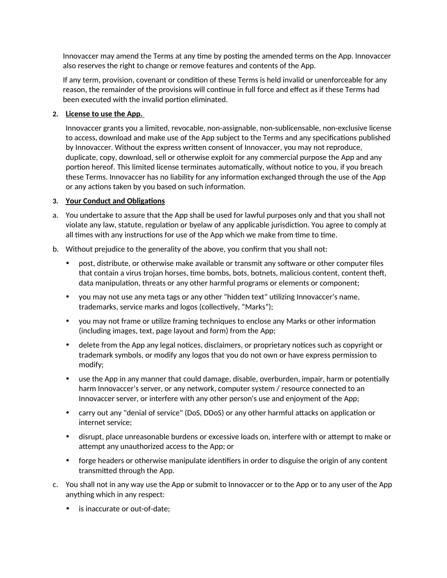Innovaccer may amend the Terms at any time by posting the amended terms on the App. Innovaccer also reserves the right to change or remove features and contents of the App.

If any term, provision, covenant or condition of these Terms is held invalid or unenforceable for any reason, the remainder of the provisions will continue in full force and effect as if these Terms had been executed with the invalid portion eliminated.

# **2. License to use the App.**

Innovaccer grants you a limited, revocable, non-assignable, non-sublicensable, non-exclusive license to access, download and make use of the App subject to the Terms and any specifications published by Innovaccer. Without the express written consent of Innovaccer, you may not reproduce, duplicate, copy, download, sell or otherwise exploit for any commercial purpose the App and any portion hereof. This limited license terminates automatically, without notice to you, if you breach these Terms. Innovaccer has no liability for any information exchanged through the use of the App or any actions taken by you based on such information.

# **3. Your Conduct and Obligations**

- a. You undertake to assure that the App shall be used for lawful purposes only and that you shall not violate any law, statute, regulation or byelaw of any applicable jurisdiction. You agree to comply at all times with any instructions for use of the App which we make from time to time.
- b. Without prejudice to the generality of the above, you confirm that you shall not:
	- post, distribute, or otherwise make available or transmit any software or other computer files that contain a virus trojan horses, time bombs, bots, botnets, malicious content, content theft, data manipulation, threats or any other harmful programs or elements or component;
	- you may not use any meta tags or any other "hidden text" utilizing Innovaccer's name, trademarks, service marks and logos (collectively, "Marks");
	- you may not frame or utilize framing techniques to enclose any Marks or other information (including images, text, page layout and form) from the App;
	- delete from the App any legal notices, disclaimers, or proprietary notices such as copyright or trademark symbols, or modify any logos that you do not own or have express permission to modify;
	- use the App in any manner that could damage, disable, overburden, impair, harm or potentially harm Innovaccer's server, or any network, computer system / resource connected to an Innovaccer server, or interfere with any other person's use and enjoyment of the App;
	- carry out any "denial of service" (DoS, DDoS) or any other harmful attacks on application or internet service;
	- disrupt, place unreasonable burdens or excessive loads on, interfere with or attempt to make or attempt any unauthorized access to the App; or
	- forge headers or otherwise manipulate identifiers in order to disguise the origin of any content transmitted through the App.
- c. You shall not in any way use the App or submit to Innovaccer or to the App or to any user of the App anything which in any respect:
	- is inaccurate or out-of-date;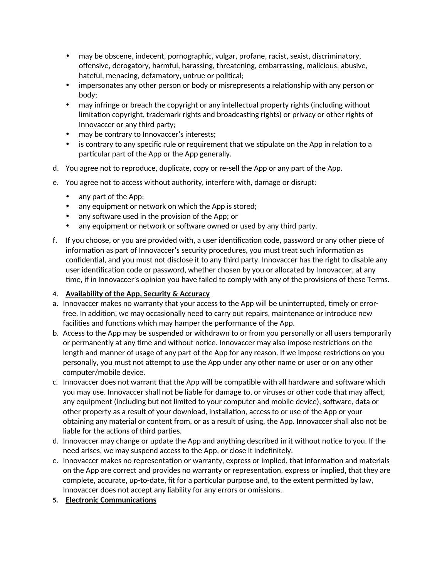- may be obscene, indecent, pornographic, vulgar, profane, racist, sexist, discriminatory, offensive, derogatory, harmful, harassing, threatening, embarrassing, malicious, abusive, hateful, menacing, defamatory, untrue or political;
- impersonates any other person or body or misrepresents a relationship with any person or body;
- may infringe or breach the copyright or any intellectual property rights (including without limitation copyright, trademark rights and broadcasting rights) or privacy or other rights of Innovaccer or any third party;
- may be contrary to Innovaccer's interests;
- is contrary to any specific rule or requirement that we stipulate on the App in relation to a particular part of the App or the App generally.
- d. You agree not to reproduce, duplicate, copy or re-sell the App or any part of the App.
- e. You agree not to access without authority, interfere with, damage or disrupt:
	- any part of the App;
	- any equipment or network on which the App is stored;
	- any software used in the provision of the App; or
	- any equipment or network or software owned or used by any third party.
- f. If you choose, or you are provided with, a user identification code, password or any other piece of information as part of Innovaccer's security procedures, you must treat such information as confidential, and you must not disclose it to any third party. Innovaccer has the right to disable any user identification code or password, whether chosen by you or allocated by Innovaccer, at any time, if in Innovaccer's opinion you have failed to comply with any of the provisions of these Terms.

# **4. Availability of the App, Security & Accuracy**

- a. Innovaccer makes no warranty that your access to the App will be uninterrupted, timely or errorfree. In addition, we may occasionally need to carry out repairs, maintenance or introduce new facilities and functions which may hamper the performance of the App.
- b. Access to the App may be suspended or withdrawn to or from you personally or all users temporarily or permanently at any time and without notice. Innovaccer may also impose restrictions on the length and manner of usage of any part of the App for any reason. If we impose restrictions on you personally, you must not attempt to use the App under any other name or user or on any other computer/mobile device.
- c. Innovaccer does not warrant that the App will be compatible with all hardware and software which you may use. Innovaccer shall not be liable for damage to, or viruses or other code that may affect, any equipment (including but not limited to your computer and mobile device), software, data or other property as a result of your download, installation, access to or use of the App or your obtaining any material or content from, or as a result of using, the App. Innovaccer shall also not be liable for the actions of third parties.
- d. Innovaccer may change or update the App and anything described in it without notice to you. If the need arises, we may suspend access to the App, or close it indefinitely.
- e. Innovaccer makes no representation or warranty, express or implied, that information and materials on the App are correct and provides no warranty or representation, express or implied, that they are complete, accurate, up-to-date, fit for a particular purpose and, to the extent permitted by law, Innovaccer does not accept any liability for any errors or omissions.
- **5. Electronic Communications**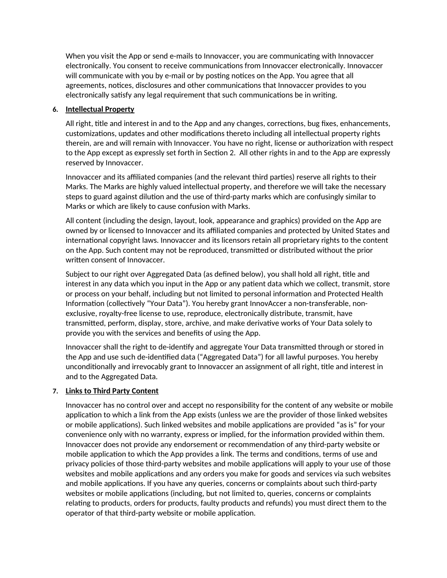When you visit [the](https://www.thomsonreuters.com/en.html) App or send e-mails to Innovaccer, you are communicating with Innovaccer electronically. You consent to receive communications from Innovaccer electronically. Innovaccer will communicate with you by e-mail or by posting notices on the App. You agree that all agreements, notices, disclosures and other communications that Innovaccer provides to you electronically satisfy any legal requirement that such communications be in writing.

# **6. Intellectual Property**

All right, title and interest in and to the App and any changes, corrections, bug fixes, enhancements, customizations, updates and other modifications thereto including all intellectual property rights therein, are and will remain with Innovaccer. You have no right, license or authorization with respect to the App except as expressly set forth in Section 2. All other rights in and to the App are expressly reserved by Innovaccer.

Innovaccer and its affiliated companies (and the relevant third parties) reserve all rights to their Marks. The Marks are highly valued intellectual property, and therefore we will take the necessary steps to guard against dilution and the use of third-party marks which are confusingly similar to Marks or which are likely to cause confusion with Marks.

All content (including the design, layout, look, appearance and graphics) provided on the App are owned by or licensed to Innovaccer and its affiliated companies and protected by United States and international copyright laws. Innovaccer and its licensors retain all proprietary rights to the content on the App. Such content may not be reproduced, transmitted or distributed without the prior written consent of Innovaccer.

Subject to our right over Aggregated Data (as defined below), you shall hold all right, title and interest in any data which you input in the App or any patient data which we collect, transmit, store or process on your behalf, including but not limited to personal information and Protected Health Information (collectively "Your Data"). You hereby grant InnovAccer a non-transferable, nonexclusive, royalty-free license to use, reproduce, electronically distribute, transmit, have transmitted, perform, display, store, archive, and make derivative works of Your Data solely to provide you with the services and benefits of using the App.

Innovaccer shall the right to de-identify and aggregate Your Data transmitted through or stored in the App and use such de-identified data ("Aggregated Data") for all lawful purposes. You hereby unconditionally and irrevocably grant to Innovaccer an assignment of all right, title and interest in and to the Aggregated Data.

# **7. Links to Third Party Content**

Innovaccer has no control over and accept no responsibility for the content of any website or mobile application to which a link from the App exists (unless we are the provider of those linked websites or mobile applications). Such linked websites and mobile applications are provided "as is" for your convenience only with no warranty, express or implied, for the information provided within them. Innovaccer does not provide any endorsement or recommendation of any third-party website or mobile application to which the App provides a link. The terms and conditions, terms of use and privacy policies of those third-party websites and mobile applications will apply to your use of those websites and mobile applications and any orders you make for goods and services via such websites and mobile applications. If you have any queries, concerns or complaints about such third-party websites or mobile applications (including, but not limited to, queries, concerns or complaints relating to products, orders for products, faulty products and refunds) you must direct them to the operator of that third-party website or mobile application.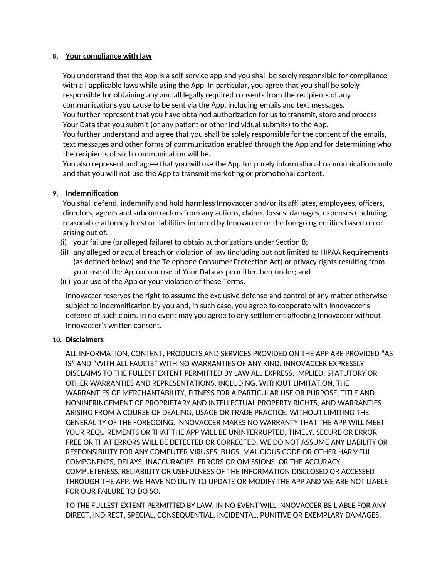# **8. Your compliance with law**

You understand that the App is a self-service app and you shall be solely responsible for compliance with all applicable laws while using the App. In particular, you agree that you shall be solely responsible for obtaining any and all legally required consents from the recipients of any communications you cause to be sent via the App, including emails and text messages. You further represent that you have obtained authorization for us to transmit, store and process Your Data that you submit (or any patient or other individual submits) to the App. You further understand and agree that you shall be solely responsible for the content of the emails, text messages and other forms of communication enabled through the App and for determining who the recipients of such communication will be.

You also represent and agree that you will use the App for purely informational communications only and that you will not use the App to transmit marketing or promotional content.

## **9. Indemnification**

You shall defend, indemnify and hold harmless Innovaccer and/or its affiliates, employees, officers, directors, agents and subcontractors from any actions, claims, losses, damages, expenses (including reasonable attorney fees) or liabilities incurred by Innovaccer or the foregoing entities based on or arising out of:

- (i) your failure (or alleged failure) to obtain authorizations under Section 8;
- (ii) any alleged or actual breach or violation of law (including but not limited to HIPAA Requirements (as defined below) and the Telephone Consumer Protection Act) or privacy rights resulting from your use of the App or our use of Your Data as permitted hereunder; and
- (iii) your use of the App or your violation of these Terms.

Innovaccer reserves the right to assume the exclusive defense and control of any matter otherwise subject to indemnification by you and, in such case, you agree to cooperate with Innovaccer's defense of such claim. In no event may you agree to any settlement affecting Innovaccer without Innovaccer's written consent.

## **10. Disclaimers**

ALL INFORMATION, CONTENT, PRODUCTS AND SERVICES PROVIDED ON THE APP ARE PROVIDED "AS IS" AND "WITH ALL FAULTS" WITH NO WARRANTIES OF ANY KIND. INNOVACCER EXPRESSLY DISCLAIMS TO THE FULLEST EXTENT PERMITTED BY LAW ALL EXPRESS, IMPLIED, STATUTORY OR OTHER WARRANTIES AND REPRESENTATIONS, INCLUDING, WITHOUT LIMITATION, THE WARRANTIES OF MERCHANTABILITY, FITNESS FOR A PARTICULAR USE OR PURPOSE, TITLE AND NONINFRINGEMENT OF PROPRIETARY AND INTELLECTUAL PROPERTY RIGHTS, AND WARRANTIES ARISING FROM A COURSE OF DEALING, USAGE OR TRADE PRACTICE. WITHOUT LIMITING THE GENERALITY OF THE FOREGOING, INNOVACCER MAKES NO WARRANTY THAT THE APP WILL MEET YOUR REQUIREMENTS OR THAT THE APP WILL BE UNINTERRUPTED, TIMELY, SECURE OR ERROR FREE OR THAT ERRORS WILL BE DETECTED OR CORRECTED. WE DO NOT ASSUME ANY LIABILITY OR RESPONSIBILITY FOR ANY COMPUTER VIRUSES, BUGS, MALICIOUS CODE OR OTHER HARMFUL COMPONENTS, DELAYS, INACCURACIES, ERRORS OR OMISSIONS, OR THE ACCURACY, COMPLETENESS, RELIABILITY OR USEFULNESS OF THE INFORMATION DISCLOSED OR ACCESSED THROUGH THE APP. WE HAVE NO DUTY TO UPDATE OR MODIFY THE APP AND WE ARE NOT LIABLE FOR OUR FAILURE TO DO SO.

TO THE FULLEST EXTENT PERMITTED BY LAW, IN NO EVENT WILL INNOVACCER BE LIABLE FOR ANY DIRECT, INDIRECT, SPECIAL, CONSEQUENTIAL, INCIDENTAL, PUNITIVE OR EXEMPLARY DAMAGES,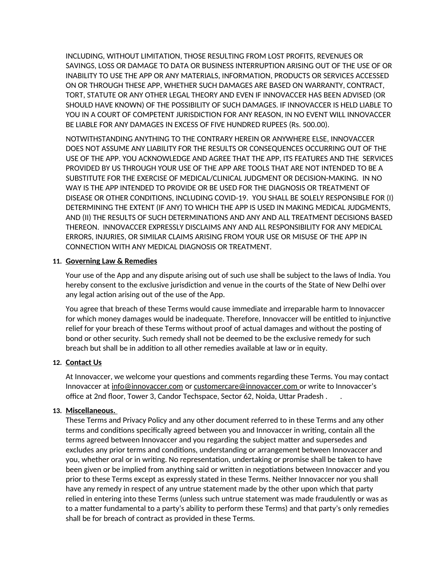INCLUDING, WITHOUT LIMITATION, THOSE RESULTING FROM LOST PROFITS, REVENUES OR SAVINGS, LOSS OR DAMAGE TO DATA OR BUSINESS INTERRUPTION ARISING OUT OF THE USE OF OR INABILITY TO USE THE APP OR ANY MATERIALS, INFORMATION, PRODUCTS OR SERVICES ACCESSED ON OR THROUGH THESE APP, WHETHER SUCH DAMAGES ARE BASED ON WARRANTY, CONTRACT, TORT, STATUTE OR ANY OTHER LEGAL THEORY AND EVEN IF INNOVACCER HAS BEEN ADVISED (OR SHOULD HAVE KNOWN) OF THE POSSIBILITY OF SUCH DAMAGES. IF INNOVACCER IS HELD LIABLE TO YOU IN A COURT OF COMPETENT JURISDICTION FOR ANY REASON, IN NO EVENT WILL INNOVACCER BE LIABLE FOR ANY DAMAGES IN EXCESS OF FIVE HUNDRED RUPEES (Rs. 500.00).

NOTWITHSTANDING ANYTHING TO THE CONTRARY HEREIN OR ANYWHERE ELSE, INNOVACCER DOES NOT ASSUME ANY LIABILITY FOR THE RESULTS OR CONSEQUENCES OCCURRING OUT OF THE USE OF THE APP. YOU ACKNOWLEDGE AND AGREE THAT THE APP, ITS FEATURES AND THE SERVICES PROVIDED BY US THROUGH YOUR USE OF THE APP ARE TOOLS THAT ARE NOT INTENDED TO BE A SUBSTITUTE FOR THE EXERCISE OF MEDICAL/CLINICAL JUDGMENT OR DECISION-MAKING. IN NO WAY IS THE APP INTENDED TO PROVIDE OR BE USED FOR THE DIAGNOSIS OR TREATMENT OF DISEASE OR OTHER CONDITIONS, INCLUDING COVID-19. YOU SHALL BE SOLELY RESPONSIBLE FOR (I) DETERMINING THE EXTENT (IF ANY) TO WHICH THE APP IS USED IN MAKING MEDICAL JUDGMENTS, AND (II) THE RESULTS OF SUCH DETERMINATIONS AND ANY AND ALL TREATMENT DECISIONS BASED THEREON. INNOVACCER EXPRESSLY DISCLAIMS ANY AND ALL RESPONSIBILITY FOR ANY MEDICAL ERRORS, INJURIES, OR SIMILAR CLAIMS ARISING FROM YOUR USE OR MISUSE OF THE APP IN CONNECTION WITH ANY MEDICAL DIAGNOSIS OR TREATMENT.

### **11. Governing Law & Remedies**

Your use of the App and any dispute arising out of such use shall be subject to the laws of India. You hereby consent to the exclusive jurisdiction and venue in the courts of the State of New Delhi over any legal action arising out of the use of the App.

You agree that breach of these Terms would cause immediate and irreparable harm to Innovaccer for which money damages would be inadequate. Therefore, Innovaccer will be entitled to injunctive relief for your breach of these Terms without proof of actual damages and without the posting of bond or other security. Such remedy shall not be deemed to be the exclusive remedy for such breach but shall be in addition to all other remedies available at law or in equity.

#### **12. Contact Us**

At Innovaccer, we welcome your questions and comments regarding these Terms. You may contact Innovaccer at [info@innovaccer.com](mailto:info@innovaccer.com) or [customercare@innovaccer.com](mailto:customercare@innovaccer.com) or write to Innovaccer's office at 2nd floor, Tower 3, Candor Techspace, Sector 62, Noida, Uttar Pradesh . .

## **13. Miscellaneous.**

These Terms and Privacy Policy and any other document referred to in these Terms and any other terms and conditions specifically agreed between you and Innovaccer in writing, contain all the terms agreed between Innovaccer and you regarding the subject matter and supersedes and excludes any prior terms and conditions, understanding or arrangement between Innovaccer and you, whether oral or in writing. No representation, undertaking or promise shall be taken to have been given or be implied from anything said or written in negotiations between Innovaccer and you prior to these Terms except as expressly stated in these Terms. Neither Innovaccer nor you shall have any remedy in respect of any untrue statement made by the other upon which that party relied in entering into these Terms (unless such untrue statement was made fraudulently or was as to a matter fundamental to a party's ability to perform these Terms) and that party's only remedies shall be for breach of contract as provided in these Terms.